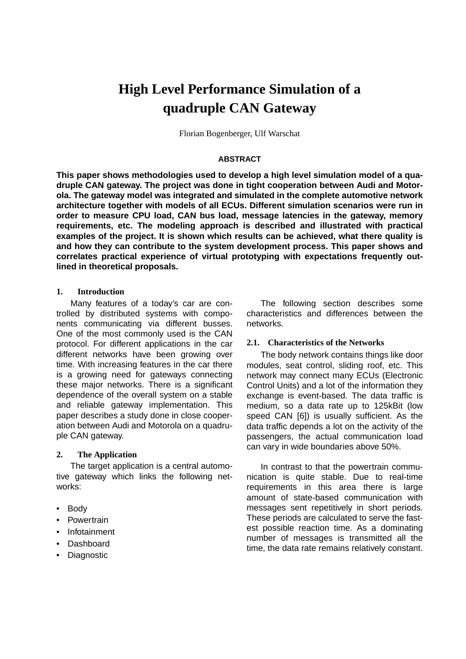# **High Level Performance Simulation of a quadruple CAN Gateway**

Florian Bogenberger, Ulf Warschat

## **ABSTRACT**

**This paper shows methodologies used to develop a high level simulation model of a quadruple CAN gateway. The project was done in tight cooperation between Audi and Motorola. The gateway model was integrated and simulated in the complete automotive network architecture together with models of all ECUs. Different simulation scenarios were run in order to measure CPU load, CAN bus load, message latencies in the gateway, memory requirements, etc. The modeling approach is described and illustrated with practical examples of the project. It is shown which results can be achieved, what there quality is and how they can contribute to the system development process. This paper shows and correlates practical experience of virtual prototyping with expectations frequently outlined in theoretical proposals.**

#### **1. Introduction**

Many features of a today's car are controlled by distributed systems with components communicating via different busses. One of the most commonly used is the CAN protocol. For different applications in the car different networks have been growing over time. With increasing features in the car there is a growing need for gateways connecting these major networks. There is a significant dependence of the overall system on a stable and reliable gateway implementation. This paper describes a study done in close cooperation between Audi and Motorola on a quadruple CAN gateway.

#### **2. The Application**

The target application is a central automotive gateway which links the following networks:

- Body
- Powertrain
- Infotainment
- Dashboard
- Diagnostic

The following section describes some characteristics and differences between the networks.

#### **2.1. Characteristics of the Networks**

The body network contains things like door modules, seat control, sliding roof, etc. This network may connect many ECUs (Electronic Control Units) and a lot of the information they exchange is event-based. The data traffic is medium, so a data rate up to 125kBit (low speed CAN [\[6\]](#page-6-0)) is usually sufficient. As the data traffic depends a lot on the activity of the passengers, the actual communication load can vary in wide boundaries above 50%.

In contrast to that the powertrain communication is quite stable. Due to real-time requirements in this area there is large amount of state-based communication with messages sent repetitively in short periods. These periods are calculated to serve the fastest possible reaction time. As a dominating number of messages is transmitted all the time, the data rate remains relatively constant.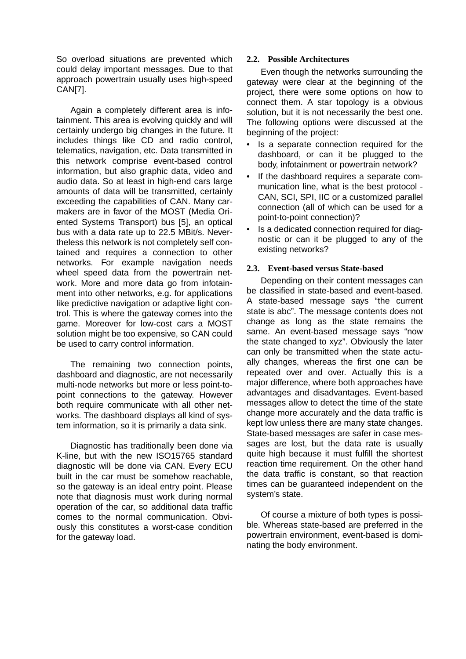So overload situations are prevented which could delay important messages. Due to that approach powertrain usually uses high-speed CA[N\[7\]](#page-6-0).

Again a completely different area is infotainment. This area is evolving quickly and will certainly undergo big changes in the future. It includes things like CD and radio control, telematics, navigation, etc. Data transmitted in this network comprise event-based control information, but also graphic data, video and audio data. So at least in high-end cars large amounts of data will be transmitted, certainly exceeding the capabilities of CAN. Many carmakers are in favor of the MOST (Media Oriented Systems Transport) bus [\[5\],](#page-6-0) an optical bus with a data rate up to 22.5 MBit/s. Nevertheless this network is not completely self contained and requires a connection to other networks. For example navigation needs wheel speed data from the powertrain network. More and more data go from infotainment into other networks, e.g. for applications like predictive navigation or adaptive light control. This is where the gateway comes into the game. Moreover for low-cost cars a MOST solution might be too expensive, so CAN could be used to carry control information.

The remaining two connection points, dashboard and diagnostic, are not necessarily multi-node networks but more or less point-topoint connections to the gateway. However both require communicate with all other networks. The dashboard displays all kind of system information, so it is primarily a data sink.

Diagnostic has traditionally been done via K-line, but with the new ISO15765 standard diagnostic will be done via CAN. Every ECU built in the car must be somehow reachable, so the gateway is an ideal entry point. Please note that diagnosis must work during normal operation of the car, so additional data traffic comes to the normal communication. Obviously this constitutes a worst-case condition for the gateway load.

## **2.2. Possible Architectures**

Even though the networks surrounding the gateway were clear at the beginning of the project, there were some options on how to connect them. A star topology is a obvious solution, but it is not necessarily the best one. The following options were discussed at the beginning of the project:

- Is a separate connection required for the dashboard, or can it be plugged to the body, infotainment or powertrain network?
- If the dashboard requires a separate communication line, what is the best protocol - CAN, SCI, SPI, IIC or a customized parallel connection (all of which can be used for a point-to-point connection)?
- Is a dedicated connection required for diagnostic or can it be plugged to any of the existing networks?

# **2.3. Event-based versus State-based**

Depending on their content messages can be classified in state-based and event-based. A state-based message says "the current state is abc". The message contents does not change as long as the state remains the same. An event-based message says "now the state changed to xyz". Obviously the later can only be transmitted when the state actually changes, whereas the first one can be repeated over and over. Actually this is a major difference, where both approaches have advantages and disadvantages. Event-based messages allow to detect the time of the state change more accurately and the data traffic is kept low unless there are many state changes. State-based messages are safer in case messages are lost, but the data rate is usually quite high because it must fulfill the shortest reaction time requirement. On the other hand the data traffic is constant, so that reaction times can be guaranteed independent on the system's state.

Of course a mixture of both types is possible. Whereas state-based are preferred in the powertrain environment, event-based is dominating the body environment.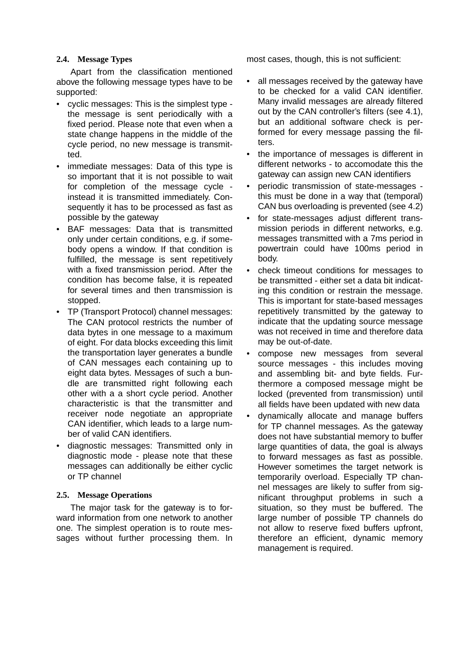## **2.4. Message Types**

Apart from the classification mentioned above the following message types have to be supported:

- cyclic messages: This is the simplest type the message is sent periodically with a fixed period. Please note that even when a state change happens in the middle of the cycle period, no new message is transmitted.
- immediate messages: Data of this type is so important that it is not possible to wait for completion of the message cycle instead it is transmitted immediately. Consequently it has to be processed as fast as possible by the gateway
- BAF messages: Data that is transmitted only under certain conditions, e.g. if somebody opens a window. If that condition is fulfilled, the message is sent repetitively with a fixed transmission period. After the condition has become false, it is repeated for several times and then transmission is stopped.
- TP (Transport Protocol) channel messages: The CAN protocol restricts the number of data bytes in one message to a maximum of eight. For data blocks exceeding this limit the transportation layer generates a bundle of CAN messages each containing up to eight data bytes. Messages of such a bundle are transmitted right following each other with a a short cycle period. Another characteristic is that the transmitter and receiver node negotiate an appropriate CAN identifier, which leads to a large number of valid CAN identifiers.
- diagnostic messages: Transmitted only in diagnostic mode - please note that these messages can additionally be either cyclic or TP channel

# **2.5. Message Operations**

The major task for the gateway is to forward information from one network to another one. The simplest operation is to route messages without further processing them. In

most cases, though, this is not sufficient:

- all messages received by the gateway have to be checked for a valid CAN identifier. Many invalid messages are already filtered out by the CAN controller's filters (see [4.1](#page-4-0)), but an additional software check is performed for every message passing the filters.
- the importance of messages is different in different networks - to accomodate this the gateway can assign new CAN identifiers
- periodic transmission of state-messages this must be done in a way that (temporal) CAN bus overloading is prevented (see [4.2](#page-4-0))
- for state-messages adjust different transmission periods in different networks, e.g. messages transmitted with a 7ms period in powertrain could have 100ms period in body.
- check timeout conditions for messages to be transmitted - either set a data bit indicating this condition or restrain the message. This is important for state-based messages repetitively transmitted by the gateway to indicate that the updating source message was not received in time and therefore data may be out-of-date.
- compose new messages from several source messages - this includes moving and assembling bit- and byte fields. Furthermore a composed message might be locked (prevented from transmission) until all fields have been updated with new data
- dynamically allocate and manage buffers for TP channel messages. As the gateway does not have substantial memory to buffer large quantities of data, the goal is always to forward messages as fast as possible. However sometimes the target network is temporarily overload. Especially TP channel messages are likely to suffer from significant throughput problems in such a situation, so they must be buffered. The large number of possible TP channels do not allow to reserve fixed buffers upfront, therefore an efficient, dynamic memory management is required.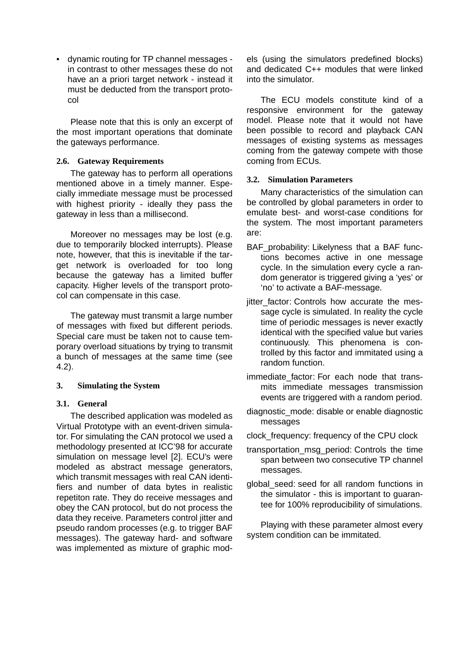• dynamic routing for TP channel messages in contrast to other messages these do not have an a priori target network - instead it must be deducted from the transport protocol

Please note that this is only an excerpt of the most important operations that dominate the gateways performance.

### **2.6. Gateway Requirements**

The gateway has to perform all operations mentioned above in a timely manner. Especially immediate message must be processed with highest priority - ideally they pass the gateway in less than a millisecond.

Moreover no messages may be lost (e.g. due to temporarily blocked interrupts). Please note, however, that this is inevitable if the target network is overloaded for too long because the gateway has a limited buffer capacity. Higher levels of the transport protocol can compensate in this case.

The gateway must transmit a large number of messages with fixed but different periods. Special care must be taken not to cause temporary overload situations by trying to transmit a bunch of messages at the same time (see [4.2](#page-4-0)).

# **3. Simulating the System**

#### **3.1. General**

The described application was modeled as Virtual Prototype with an event-driven simulator. For simulating the CAN protocol we used a methodology presented at ICC'98 for accurate simulation on message level [\[2\]](#page-6-0). ECU's were modeled as abstract message generators, which transmit messages with real CAN identifiers and number of data bytes in realistic repetiton rate. They do receive messages and obey the CAN protocol, but do not process the data they receive. Parameters control jitter and pseudo random processes (e.g. to trigger BAF messages). The gateway hard- and software was implemented as mixture of graphic models (using the simulators predefined blocks) and dedicated C++ modules that were linked into the simulator.

The ECU models constitute kind of a responsive environment for the gateway model. Please note that it would not have been possible to record and playback CAN messages of existing systems as messages coming from the gateway compete with those coming from ECUs.

## **3.2. Simulation Parameters**

Many characteristics of the simulation can be controlled by global parameters in order to emulate best- and worst-case conditions for the system. The most important parameters are:

- BAF probability: Likelyness that a BAF functions becomes active in one message cycle. In the simulation every cycle a random generator is triggered giving a 'yes' or 'no' to activate a BAF-message.
- jitter factor: Controls how accurate the message cycle is simulated. In reality the cycle time of periodic messages is never exactly identical with the specified value but varies continuously. This phenomena is controlled by this factor and immitated using a random function.
- immediate factor: For each node that transmits immediate messages transmission events are triggered with a random period.
- diagnostic\_mode: disable or enable diagnostic messages
- clock\_frequency: frequency of the CPU clock
- transportation\_msg\_period: Controls the time span between two consecutive TP channel messages.
- global\_seed: seed for all random functions in the simulator - this is important to guarantee for 100% reproducibility of simulations.

Playing with these parameter almost every system condition can be immitated.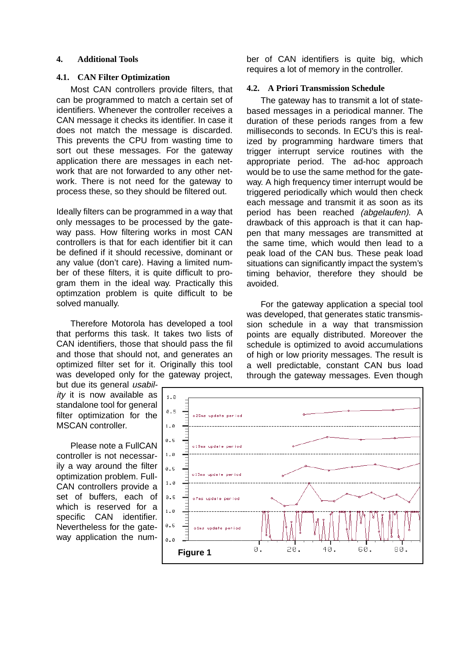#### <span id="page-4-0"></span>**4. Additional Tools**

#### **4.1. CAN Filter Optimization**

Most CAN controllers provide filters, that can be programmed to match a certain set of identifiers. Whenever the controller receives a CAN message it checks its identifier. In case it does not match the message is discarded. This prevents the CPU from wasting time to sort out these messages. For the gateway application there are messages in each network that are not forwarded to any other network. There is not need for the gateway to process these, so they should be filtered out.

Ideally filters can be programmed in a way that only messages to be processed by the gateway pass. How filtering works in most CAN controllers is that for each identifier bit it can be defined if it should recessive, dominant or any value (don't care). Having a limited number of these filters, it is quite difficult to program them in the ideal way. Practically this optimzation problem is quite difficult to be solved manually.

Therefore Motorola has developed a tool that performs this task. It takes two lists of CAN identifiers, those that should pass the fil and those that should not, and generates an optimized filter set for it. Originally this tool was developed only for the gateway project,

but due its general usabil $ity$  it is now available as standalone tool for general filter optimization for the MSCAN controller.

Please note a FullCAN controller is not necessarily a way around the filter optimization problem. Full-CAN controllers provide a set of buffers, each of which is reserved for a specific CAN identifier. Nevertheless for the gateway application the number of CAN identifiers is quite big, which requires a lot of memory in the controller.

#### **4.2. A Priori Transmission Schedule**

The gateway has to transmit a lot of statebased messages in a periodical manner. The duration of these periods ranges from a few milliseconds to seconds. In ECU's this is realized by programming hardware timers that trigger interrupt service routines with the appropriate period. The ad-hoc approach would be to use the same method for the gateway. A high frequency timer interrupt would be triggered periodically which would then check each message and transmit it as soon as its period has been reached *(abgelaufen)*. A drawback of this approach is that it can happen that many messages are transmitted at the same time, which would then lead to a peak load of the CAN bus. These peak load situations can significantly impact the system's timing behavior, therefore they should be avoided.

For the gateway application a special tool was developed, that generates static transmission schedule in a way that transmission points are equally distributed. Moreover the schedule is optimized to avoid accumulations of high or low priority messages. The result is a well predictable, constant CAN bus load through the gateway messages. Even though

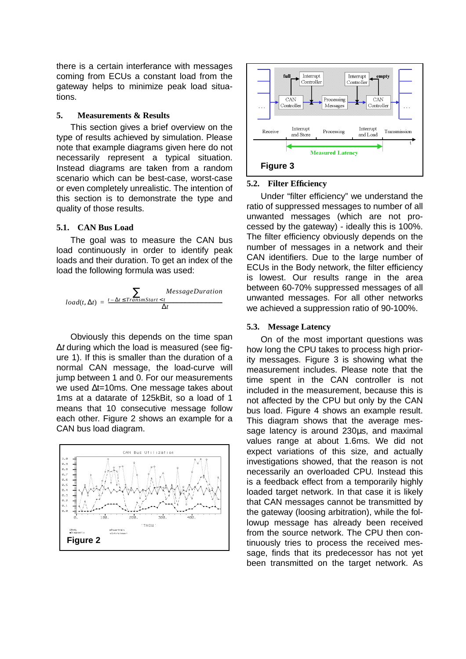there is a certain interferance with messages coming from ECUs a constant load from the gateway helps to minimize peak load situations.

#### **5. Measurements & Results**

This section gives a brief overview on the type of results achieved by simulation. Please note that example diagrams given here do not necessarily represent a typical situation. Instead diagrams are taken from a random scenario which can be best-case, worst-case or even completely unrealistic. The intention of this section is to demonstrate the type and quality of those results.

## **5.1. CAN Bus Load**

The goal was to measure the CAN bus load continuously in order to identify peak loads and their duration. To get an index of the load the following formula was used:

$$
load(t, \Delta t) = \frac{t - \Delta t \leq TransmStart < t}{\Delta t}
$$

Obviously this depends on the time span ∆<sup>t</sup> during which the load is measured (see figure 1). If this is smaller than the duration of a normal CAN message, the load-curve will jump between 1 and 0. For our measurements we used ∆t=10ms. One message takes about 1ms at a datarate of 125kBit, so a load of 1 means that 10 consecutive message follow each other. Figure 2 shows an example for a CAN bus load diagram.





## **5.2. Filter Efficiency**

Under "filter efficiency" we understand the ratio of suppressed messages to number of all unwanted messages (which are not processed by the gateway) - ideally this is 100%. The filter efficiency obviously depends on the number of messages in a network and their CAN identifiers. Due to the large number of ECUs in the Body network, the filter efficiency is lowest. Our results range in the area between 60-70% suppressed messages of all unwanted messages. For all other networks we achieved a suppression ratio of 90-100%.

#### **5.3. Message Latency**

On of the most important questions was how long the CPU takes to process high priority messages. Figure 3 is showing what the measurement includes. Please note that the time spent in the CAN controller is not included in the measurement, because this is not affected by the CPU but only by the CAN bus load. Figure 4 shows an example result. This diagram shows that the average message latency is around 230µs, and maximal values range at about 1.6ms. We did not expect variations of this size, and actually investigations showed, that the reason is not necessarily an overloaded CPU. Instead this is a feedback effect from a temporarily highly loaded target network. In that case it is likely that CAN messages cannot be transmitted by the gateway (loosing arbitration), while the followup message has already been received from the source network. The CPU then continuously tries to process the received message, finds that its predecessor has not yet been transmitted on the target network. As